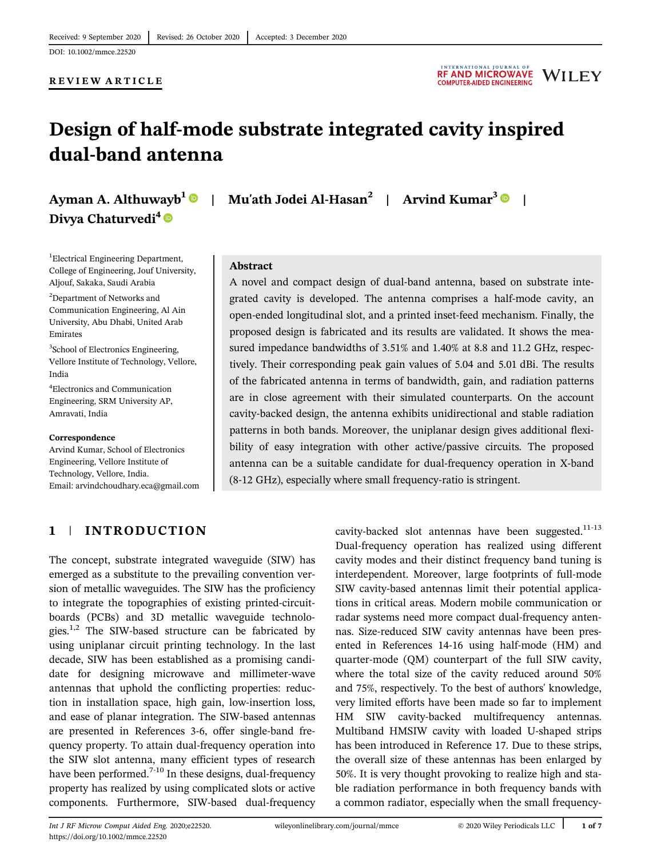#### REVIEW ARTICLE



# Design of half-mode substrate integrated cavity inspired dual-band antenna

Ayman A. Althuwayb<sup>1</sup> Divya Chaturvedi<sup>4</sup>

| Mu'ath Jodei Al-Hasan<sup>2</sup> | Arvind Kumar<sup>3</sup> |

#### <sup>1</sup>Electrical Engineering Department, College of Engineering, Jouf University, Aljouf, Sakaka, Saudi Arabia

<sup>2</sup>Department of Networks and Communication Engineering, Al Ain University, Abu Dhabi, United Arab Emirates

3 School of Electronics Engineering, Vellore Institute of Technology, Vellore, India

4 Electronics and Communication Engineering, SRM University AP, Amravati, India

#### Correspondence

Arvind Kumar, School of Electronics Engineering, Vellore Institute of Technology, Vellore, India. Email: arvindchoudhary.eca@gmail.com

#### Abstract

A novel and compact design of dual-band antenna, based on substrate integrated cavity is developed. The antenna comprises a half-mode cavity, an open-ended longitudinal slot, and a printed inset-feed mechanism. Finally, the proposed design is fabricated and its results are validated. It shows the measured impedance bandwidths of 3.51% and 1.40% at 8.8 and 11.2 GHz, respectively. Their corresponding peak gain values of 5.04 and 5.01 dBi. The results of the fabricated antenna in terms of bandwidth, gain, and radiation patterns are in close agreement with their simulated counterparts. On the account cavity-backed design, the antenna exhibits unidirectional and stable radiation patterns in both bands. Moreover, the uniplanar design gives additional flexibility of easy integration with other active/passive circuits. The proposed antenna can be a suitable candidate for dual-frequency operation in X-band (8-12 GHz), especially where small frequency-ratio is stringent.

# 1 | INTRODUCTION

The concept, substrate integrated waveguide (SIW) has emerged as a substitute to the prevailing convention version of metallic waveguides. The SIW has the proficiency to integrate the topographies of existing printed-circuitboards (PCBs) and 3D metallic waveguide technologies. $1,2$  The SIW-based structure can be fabricated by using uniplanar circuit printing technology. In the last decade, SIW has been established as a promising candidate for designing microwave and millimeter-wave antennas that uphold the conflicting properties: reduction in installation space, high gain, low-insertion loss, and ease of planar integration. The SIW-based antennas are presented in References 3-6, offer single-band frequency property. To attain dual-frequency operation into the SIW slot antenna, many efficient types of research have been performed.<sup>7-10</sup> In these designs, dual-frequency property has realized by using complicated slots or active components. Furthermore, SIW-based dual-frequency

cavity-backed slot antennas have been suggested. $11-13$ Dual-frequency operation has realized using different cavity modes and their distinct frequency band tuning is interdependent. Moreover, large footprints of full-mode SIW cavity-based antennas limit their potential applications in critical areas. Modern mobile communication or radar systems need more compact dual-frequency antennas. Size-reduced SIW cavity antennas have been presented in References 14-16 using half-mode (HM) and quarter-mode (QM) counterpart of the full SIW cavity, where the total size of the cavity reduced around 50% and 75%, respectively. To the best of authors' knowledge, very limited efforts have been made so far to implement HM SIW cavity-backed multifrequency antennas. Multiband HMSIW cavity with loaded U-shaped strips has been introduced in Reference 17. Due to these strips, the overall size of these antennas has been enlarged by 50%. It is very thought provoking to realize high and stable radiation performance in both frequency bands with a common radiator, especially when the small frequency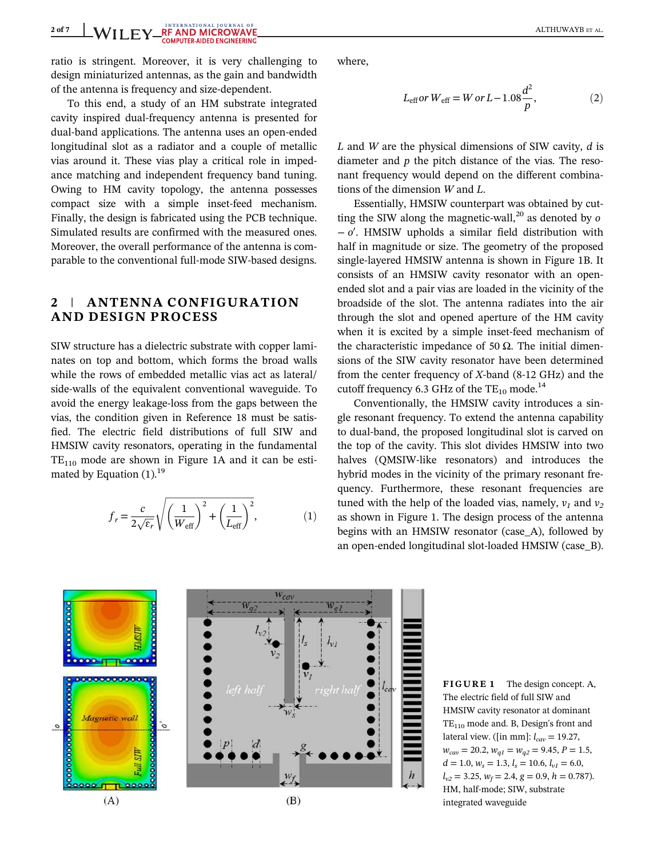ratio is stringent. Moreover, it is very challenging to design miniaturized antennas, as the gain and bandwidth of the antenna is frequency and size-dependent.

To this end, a study of an HM substrate integrated cavity inspired dual-frequency antenna is presented for dual-band applications. The antenna uses an open-ended longitudinal slot as a radiator and a couple of metallic vias around it. These vias play a critical role in impedance matching and independent frequency band tuning. Owing to HM cavity topology, the antenna possesses compact size with a simple inset-feed mechanism. Finally, the design is fabricated using the PCB technique. Simulated results are confirmed with the measured ones. Moreover, the overall performance of the antenna is comparable to the conventional full-mode SIW-based designs.

# 2 | ANTENNA CONFIGURATION AND DESIGN PROCESS

SIW structure has a dielectric substrate with copper laminates on top and bottom, which forms the broad walls while the rows of embedded metallic vias act as lateral/ side-walls of the equivalent conventional waveguide. To avoid the energy leakage-loss from the gaps between the vias, the condition given in Reference 18 must be satisfied. The electric field distributions of full SIW and HMSIW cavity resonators, operating in the fundamental  $TE<sub>110</sub>$  mode are shown in Figure 1A and it can be estimated by Equation  $(1)$ .<sup>19</sup>

 $\overline{0}$ 

$$
f_r = \frac{c}{2\sqrt{\varepsilon_r}} \sqrt{\left(\frac{1}{W_{\text{eff}}}\right)^2 + \left(\frac{1}{L_{\text{eff}}}\right)^2},\tag{1}
$$

where,

$$
L_{\rm eff} \text{or } W_{\rm eff} = W \text{ or } L - 1.08 \frac{d^2}{p},\tag{2}
$$

 $L$  and  $W$  are the physical dimensions of SIW cavity,  $d$  is diameter and  $p$  the pitch distance of the vias. The resonant frequency would depend on the different combinations of the dimension W and L.

Essentially, HMSIW counterpart was obtained by cutting the SIW along the magnetic-wall,<sup>20</sup> as denoted by  $\sigma$ − o 0 . HMSIW upholds a similar field distribution with half in magnitude or size. The geometry of the proposed single-layered HMSIW antenna is shown in Figure 1B. It consists of an HMSIW cavity resonator with an openended slot and a pair vias are loaded in the vicinity of the broadside of the slot. The antenna radiates into the air through the slot and opened aperture of the HM cavity when it is excited by a simple inset-feed mechanism of the characteristic impedance of 50  $Ω$ . The initial dimensions of the SIW cavity resonator have been determined from the center frequency of X-band (8-12 GHz) and the cutoff frequency 6.3 GHz of the  $TE_{10}$  mode.<sup>14</sup>

Conventionally, the HMSIW cavity introduces a single resonant frequency. To extend the antenna capability to dual-band, the proposed longitudinal slot is carved on the top of the cavity. This slot divides HMSIW into two halves (QMSIW-like resonators) and introduces the hybrid modes in the vicinity of the primary resonant frequency. Furthermore, these resonant frequencies are tuned with the help of the loaded vias, namely,  $v_1$  and  $v_2$ as shown in Figure 1. The design process of the antenna begins with an HMSIW resonator (case\_A), followed by an open-ended longitudinal slot-loaded HMSIW (case\_B).

 $l_{vl}$ 0000000000 Magnetic wall  $\overline{\circ}$ w ooo  $(A)$  $(B)$ 

FIGURE 1 The design concept. A, The electric field of full SIW and HMSIW cavity resonator at dominant  $TE<sub>110</sub>$  mode and. B, Design's front and lateral view. ([in mm]:  $l_{cav} = 19.27$ ,  $w_{cav} = 20.2, w_{q1} = w_{q2} = 9.45, P = 1.5,$  $d = 1.0, w_s = 1.3, l_s = 10.6, l_{v1} = 6.0,$  $l_{v2} = 3.25$ ,  $w_f = 2.4$ ,  $g = 0.9$ ,  $h = 0.787$ ). HM, half-mode; SIW, substrate integrated waveguide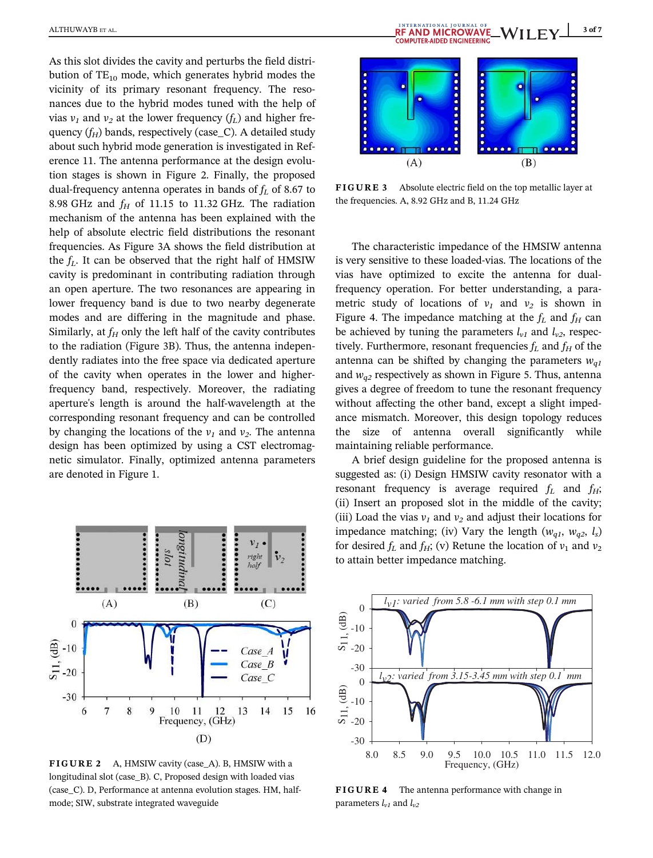As this slot divides the cavity and perturbs the field distribution of  $TE_{10}$  mode, which generates hybrid modes the vicinity of its primary resonant frequency. The resonances due to the hybrid modes tuned with the help of vias  $v_1$  and  $v_2$  at the lower frequency  $(f_L)$  and higher frequency  $(f_H)$  bands, respectively (case C). A detailed study about such hybrid mode generation is investigated in Reference 11. The antenna performance at the design evolution stages is shown in Figure 2. Finally, the proposed dual-frequency antenna operates in bands of  $f_L$  of 8.67 to 8.98 GHz and  $f_H$  of 11.15 to 11.32 GHz. The radiation mechanism of the antenna has been explained with the help of absolute electric field distributions the resonant frequencies. As Figure 3A shows the field distribution at the  $f_L$ . It can be observed that the right half of HMSIW cavity is predominant in contributing radiation through an open aperture. The two resonances are appearing in lower frequency band is due to two nearby degenerate modes and are differing in the magnitude and phase. Similarly, at  $f_H$  only the left half of the cavity contributes to the radiation (Figure 3B). Thus, the antenna independently radiates into the free space via dedicated aperture of the cavity when operates in the lower and higherfrequency band, respectively. Moreover, the radiating aperture's length is around the half-wavelength at the corresponding resonant frequency and can be controlled by changing the locations of the  $v_1$  and  $v_2$ . The antenna design has been optimized by using a CST electromagnetic simulator. Finally, optimized antenna parameters are denoted in Figure 1.



FIGURE 2 A, HMSIW cavity (case\_A). B, HMSIW with a longitudinal slot (case\_B). C, Proposed design with loaded vias (case\_C). D, Performance at antenna evolution stages. HM, halfmode; SIW, substrate integrated waveguide



FIGURE 3 Absolute electric field on the top metallic layer at the frequencies. A, 8.92 GHz and B, 11.24 GHz

The characteristic impedance of the HMSIW antenna is very sensitive to these loaded-vias. The locations of the vias have optimized to excite the antenna for dualfrequency operation. For better understanding, a parametric study of locations of  $v_1$  and  $v_2$  is shown in Figure 4. The impedance matching at the  $f_L$  and  $f_H$  can be achieved by tuning the parameters  $l_{v1}$  and  $l_{v2}$ , respectively. Furthermore, resonant frequencies  $f_L$  and  $f_H$  of the antenna can be shifted by changing the parameters  $w_{q1}$ and  $w_{q2}$  respectively as shown in Figure 5. Thus, antenna gives a degree of freedom to tune the resonant frequency without affecting the other band, except a slight impedance mismatch. Moreover, this design topology reduces the size of antenna overall significantly while maintaining reliable performance.

A brief design guideline for the proposed antenna is suggested as: (i) Design HMSIW cavity resonator with a resonant frequency is average required  $f_L$  and  $f_H$ ; (ii) Insert an proposed slot in the middle of the cavity; (iii) Load the vias  $v_1$  and  $v_2$  and adjust their locations for impedance matching; (iv) Vary the length ( $w_{q1}$ ,  $w_{q2}$ ,  $l_s$ ) for desired  $f_L$  and  $f_H$ ; (v) Retune the location of  $v_1$  and  $v_2$ to attain better impedance matching.



FIGURE 4 The antenna performance with change in parameters  $l_{v1}$  and  $l_{v2}$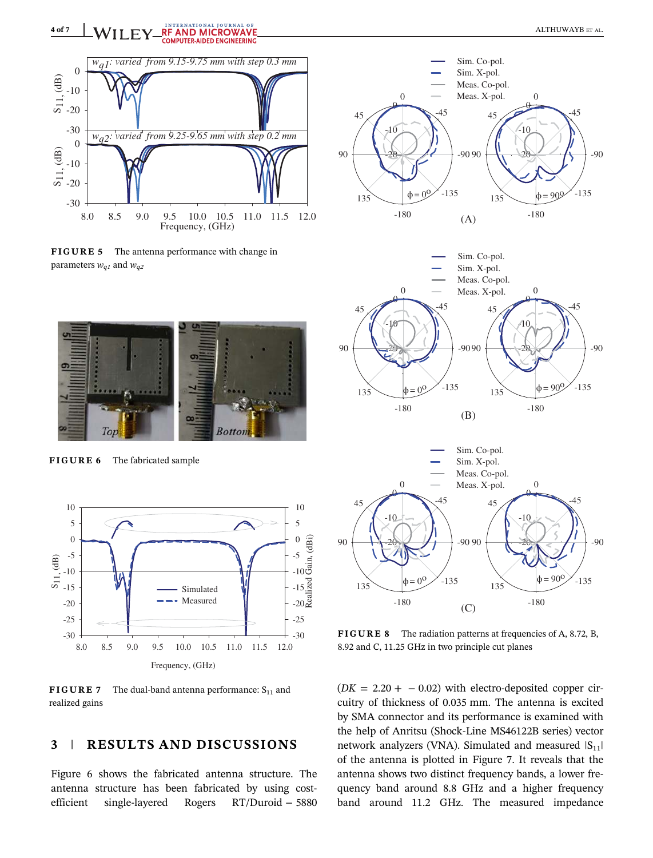

FIGURE 5 The antenna performance with change in parameters  $w_{q1}$  and  $w_{q2}$ 



FIGURE 6 The fabricated sample



**FIGURE 7** The dual-band antenna performance:  $S_{11}$  and realized gains

## 3 | RESULTS AND DISCUSSIONS

Figure 6 shows the fabricated antenna structure. The antenna structure has been fabricated by using costefficient single-layered Rogers RT/Duroid − 5880









FIGURE 8 The radiation patterns at frequencies of A, 8.72, B, 8.92 and C, 11.25 GHz in two principle cut planes

 $(DK = 2.20 + -0.02)$  with electro-deposited copper circuitry of thickness of 0.035 mm. The antenna is excited by SMA connector and its performance is examined with the help of Anritsu (Shock-Line MS46122B series) vector network analyzers (VNA). Simulated and measured  $|S_{11}|$ of the antenna is plotted in Figure 7. It reveals that the antenna shows two distinct frequency bands, a lower frequency band around 8.8 GHz and a higher frequency band around 11.2 GHz. The measured impedance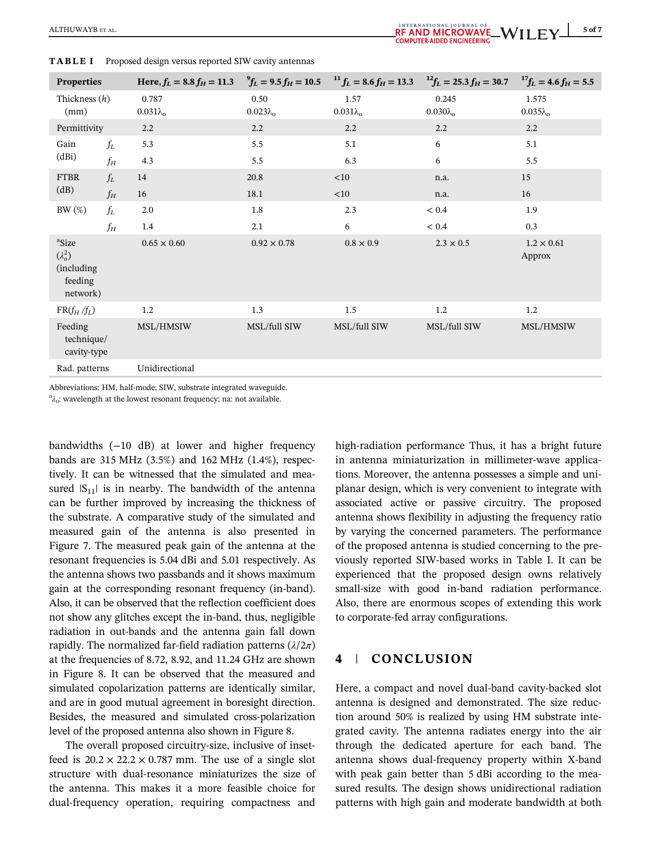| <b>Properties</b>                                                         |       | Here, $f_L = 8.8 f_H = 11.3$ ${}^{9}f_L = 9.5 f_H = 10.5$ ${}^{11}f_L = 8.6 f_H = 13.3$ ${}^{12}f_L = 25.3 f_H = 30.7$ ${}^{17}f_L = 4.6 f_H = 5.5$ |                            |                          |                             |                             |
|---------------------------------------------------------------------------|-------|-----------------------------------------------------------------------------------------------------------------------------------------------------|----------------------------|--------------------------|-----------------------------|-----------------------------|
| Thickness $(h)$<br>(mm)                                                   |       | 0.787<br>$0.031\lambda_o$                                                                                                                           | 0.50<br>$0.023\lambda_{o}$ | 1.57<br>$0.031\lambda_o$ | 0.245<br>$0.030\lambda_{o}$ | 1.575<br>$0.035\lambda_{o}$ |
| Permittivity                                                              |       | 2.2                                                                                                                                                 | 2.2                        | 2.2                      | 2.2                         | 2.2                         |
| Gain<br>(dBi)                                                             | $f_L$ | 5.3                                                                                                                                                 | 5.5                        | 5.1                      | 6                           | 5.1                         |
|                                                                           | $f_H$ | 4.3                                                                                                                                                 | 5.5                        | 6.3                      | 6                           | 5.5                         |
| <b>FTBR</b><br>(dB)                                                       | $f_L$ | 14                                                                                                                                                  | 20.8                       | <10                      | n.a.                        | 15                          |
|                                                                           | $f_H$ | 16                                                                                                                                                  | 18.1                       | <10                      | n.a.                        | 16                          |
| $BW(\%)$                                                                  | $f_L$ | 2.0                                                                                                                                                 | 1.8                        | 2.3                      | $< 0.4$                     | 1.9                         |
|                                                                           | $f_H$ | 1.4                                                                                                                                                 | 2.1                        | 6                        | < 0.4                       | 0.3                         |
| <sup>a</sup> Size<br>$(\lambda_0^2)$<br>(including<br>feeding<br>network) |       | $0.65 \times 0.60$                                                                                                                                  | $0.92 \times 0.78$         | $0.8 \times 0.9$         | $2.3 \times 0.5$            | $1.2 \times 0.61$<br>Approx |
| $FR(f_H/f_L)$                                                             |       | $1.2\phantom{0}$                                                                                                                                    | 1.3                        | $1.5\,$                  | 1.2                         | 1.2                         |
| Feeding<br>technique/<br>cavity-type                                      |       | MSL/HMSIW                                                                                                                                           | MSL/full SIW               | MSL/full SIW             | MSL/full SIW                | MSL/HMSIW                   |
| Rad. patterns                                                             |       | Unidirectional                                                                                                                                      |                            |                          |                             |                             |

TABLE I Proposed design versus reported SIW cavity antennas

Abbreviations: HM, half-mode; SIW, substrate integrated waveguide.

 $a_{\lambda_0}$ : wavelength at the lowest resonant frequency; na: not available.

bandwidths (−10 dB) at lower and higher frequency bands are 315 MHz (3.5%) and 162 MHz (1.4%), respectively. It can be witnessed that the simulated and measured  $|S_{11}|$  is in nearby. The bandwidth of the antenna can be further improved by increasing the thickness of the substrate. A comparative study of the simulated and measured gain of the antenna is also presented in Figure 7. The measured peak gain of the antenna at the resonant frequencies is 5.04 dBi and 5.01 respectively. As the antenna shows two passbands and it shows maximum gain at the corresponding resonant frequency (in-band). Also, it can be observed that the reflection coefficient does not show any glitches except the in-band, thus, negligible radiation in out-bands and the antenna gain fall down rapidly. The normalized far-field radiation patterns  $(\lambda/2\pi)$ at the frequencies of 8.72, 8.92, and 11.24 GHz are shown in Figure 8. It can be observed that the measured and simulated copolarization patterns are identically similar, and are in good mutual agreement in boresight direction. Besides, the measured and simulated cross-polarization level of the proposed antenna also shown in Figure 8.

The overall proposed circuitry-size, inclusive of insetfeed is  $20.2 \times 22.2 \times 0.787$  mm. The use of a single slot structure with dual-resonance miniaturizes the size of the antenna. This makes it a more feasible choice for dual-frequency operation, requiring compactness and

high-radiation performance Thus, it has a bright future in antenna miniaturization in millimeter-wave applications. Moreover, the antenna possesses a simple and uniplanar design, which is very convenient to integrate with associated active or passive circuitry. The proposed antenna shows flexibility in adjusting the frequency ratio by varying the concerned parameters. The performance of the proposed antenna is studied concerning to the previously reported SIW-based works in Table I. It can be experienced that the proposed design owns relatively small-size with good in-band radiation performance. Also, there are enormous scopes of extending this work to corporate-fed array configurations.

# 4 | CONCLUSION

Here, a compact and novel dual-band cavity-backed slot antenna is designed and demonstrated. The size reduction around 50% is realized by using HM substrate integrated cavity. The antenna radiates energy into the air through the dedicated aperture for each band. The antenna shows dual-frequency property within X-band with peak gain better than 5 dBi according to the measured results. The design shows unidirectional radiation patterns with high gain and moderate bandwidth at both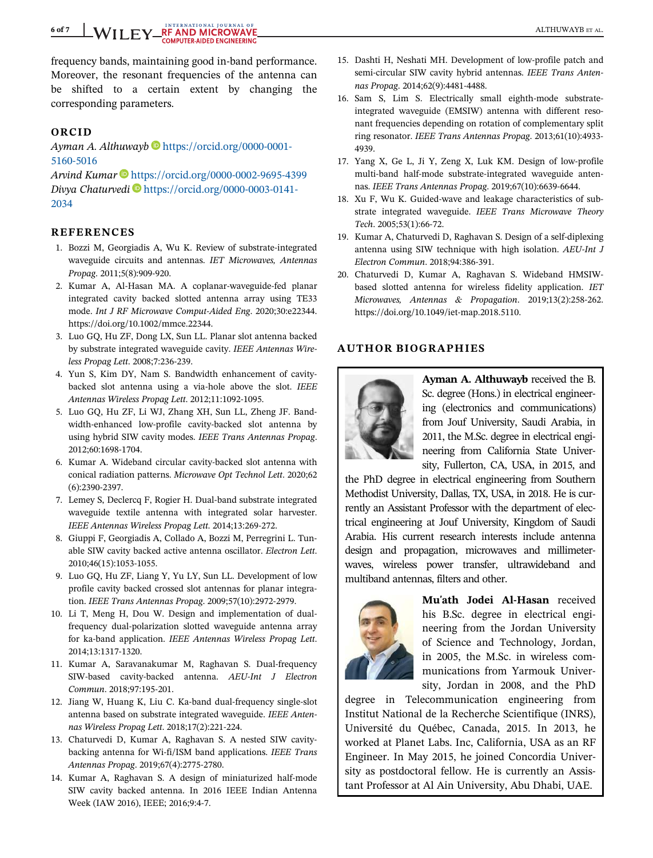# 6 of 7 WILEY REAND MICROWAVE AND MORE ALL THE RAND MICROWAVE ALL THUWAYB ET AL.

frequency bands, maintaining good in-band performance. Moreover, the resonant frequencies of the antenna can be shifted to a certain extent by changing the corresponding parameters.

#### ORCID

Ayman A. Althuwayb https://orcid.org/0000-0001-5160-5016

Arvind Kumar **b** https://orcid.org/0000-0002-9695-4399 Divya Chaturvedi Dhttps://orcid.org/0000-0003-0141-2034

### REFERENCES

- 1. Bozzi M, Georgiadis A, Wu K. Review of substrate-integrated waveguide circuits and antennas. IET Microwaves, Antennas Propag. 2011;5(8):909-920.
- 2. Kumar A, Al-Hasan MA. A coplanar-waveguide-fed planar integrated cavity backed slotted antenna array using TE33 mode. Int J RF Microwave Comput-Aided Eng. 2020;30:e22344. https://doi.org/10.1002/mmce.22344.
- 3. Luo GQ, Hu ZF, Dong LX, Sun LL. Planar slot antenna backed by substrate integrated waveguide cavity. IEEE Antennas Wireless Propag Lett. 2008;7:236-239.
- 4. Yun S, Kim DY, Nam S. Bandwidth enhancement of cavitybacked slot antenna using a via-hole above the slot. IEEE Antennas Wireless Propag Lett. 2012;11:1092-1095.
- 5. Luo GQ, Hu ZF, Li WJ, Zhang XH, Sun LL, Zheng JF. Bandwidth-enhanced low-profile cavity-backed slot antenna by using hybrid SIW cavity modes. IEEE Trans Antennas Propag. 2012;60:1698-1704.
- 6. Kumar A. Wideband circular cavity-backed slot antenna with conical radiation patterns. Microwave Opt Technol Lett. 2020;62 (6):2390-2397.
- 7. Lemey S, Declercq F, Rogier H. Dual-band substrate integrated waveguide textile antenna with integrated solar harvester. IEEE Antennas Wireless Propag Lett. 2014;13:269-272.
- 8. Giuppi F, Georgiadis A, Collado A, Bozzi M, Perregrini L. Tunable SIW cavity backed active antenna oscillator. Electron Lett. 2010;46(15):1053-1055.
- 9. Luo GQ, Hu ZF, Liang Y, Yu LY, Sun LL. Development of low profile cavity backed crossed slot antennas for planar integration. IEEE Trans Antennas Propag. 2009;57(10):2972-2979.
- 10. Li T, Meng H, Dou W. Design and implementation of dualfrequency dual-polarization slotted waveguide antenna array for ka-band application. IEEE Antennas Wireless Propag Lett. 2014;13:1317-1320.
- 11. Kumar A, Saravanakumar M, Raghavan S. Dual-frequency SIW-based cavity-backed antenna. AEU-Int J Electron Commun. 2018;97:195-201.
- 12. Jiang W, Huang K, Liu C. Ka-band dual-frequency single-slot antenna based on substrate integrated waveguide. IEEE Antennas Wireless Propag Lett. 2018;17(2):221-224.
- 13. Chaturvedi D, Kumar A, Raghavan S. A nested SIW cavitybacking antenna for Wi-fi/ISM band applications. IEEE Trans Antennas Propag. 2019;67(4):2775-2780.
- 14. Kumar A, Raghavan S. A design of miniaturized half-mode SIW cavity backed antenna. In 2016 IEEE Indian Antenna Week (IAW 2016), IEEE; 2016;9:4-7.
- 15. Dashti H, Neshati MH. Development of low-profile patch and semi-circular SIW cavity hybrid antennas. IEEE Trans Antennas Propag. 2014;62(9):4481-4488.
- 16. Sam S, Lim S. Electrically small eighth-mode substrateintegrated waveguide (EMSIW) antenna with different resonant frequencies depending on rotation of complementary split ring resonator. IEEE Trans Antennas Propag. 2013;61(10):4933- 4939.
- 17. Yang X, Ge L, Ji Y, Zeng X, Luk KM. Design of low-profile multi-band half-mode substrate-integrated waveguide antennas. IEEE Trans Antennas Propag. 2019;67(10):6639-6644.
- 18. Xu F, Wu K. Guided-wave and leakage characteristics of substrate integrated waveguide. IEEE Trans Microwave Theory Tech. 2005;53(1):66-72.
- 19. Kumar A, Chaturvedi D, Raghavan S. Design of a self-diplexing antenna using SIW technique with high isolation. AEU-Int J Electron Commun. 2018;94:386-391.
- 20. Chaturvedi D, Kumar A, Raghavan S. Wideband HMSIWbased slotted antenna for wireless fidelity application. IET Microwaves, Antennas & Propagation. 2019;13(2):258-262. https://doi.org/10.1049/iet-map.2018.5110.

### AUTHOR BIOGRAPHIES



Ayman A. Althuwayb received the B. Sc. degree (Hons.) in electrical engineering (electronics and communications) from Jouf University, Saudi Arabia, in 2011, the M.Sc. degree in electrical engineering from California State University, Fullerton, CA, USA, in 2015, and

the PhD degree in electrical engineering from Southern Methodist University, Dallas, TX, USA, in 2018. He is currently an Assistant Professor with the department of electrical engineering at Jouf University, Kingdom of Saudi Arabia. His current research interests include antenna design and propagation, microwaves and millimeterwaves, wireless power transfer, ultrawideband and multiband antennas, filters and other.



Mu'ath Jodei Al-Hasan received his B.Sc. degree in electrical engineering from the Jordan University of Science and Technology, Jordan, in 2005, the M.Sc. in wireless communications from Yarmouk University, Jordan in 2008, and the PhD

degree in Telecommunication engineering from Institut National de la Recherche Scientifique (INRS), Université du Québec, Canada, 2015. In 2013, he worked at Planet Labs. Inc, California, USA as an RF Engineer. In May 2015, he joined Concordia University as postdoctoral fellow. He is currently an Assistant Professor at Al Ain University, Abu Dhabi, UAE.